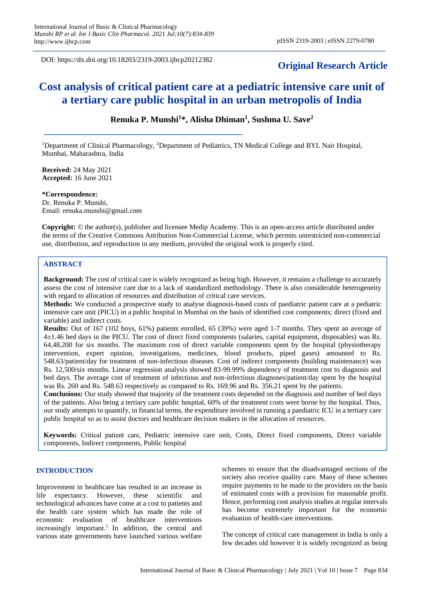DOI: https://dx.doi.org/10.18203/2319-2003.ijbcp20212382

## **Original Research Article**

# **Cost analysis of critical patient care at a pediatric intensive care unit of a tertiary care public hospital in an urban metropolis of India**

**Renuka P. Munshi<sup>1</sup> \*, Alisha Dhiman<sup>1</sup> , Sushma U. Save<sup>2</sup>**

<sup>1</sup>Department of Clinical Pharmacology, <sup>2</sup>Department of Pediatrics, TN Medical College and BYL Nair Hospital, Mumbai, Maharashtra, India

**Received:** 24 May 2021 **Accepted:** 16 June 2021

**\*Correspondence:** Dr. Renuka P. Munshi, Email: renuka.munshi@gmail.com

**Copyright:** © the author(s), publisher and licensee Medip Academy. This is an open-access article distributed under the terms of the Creative Commons Attribution Non-Commercial License, which permits unrestricted non-commercial use, distribution, and reproduction in any medium, provided the original work is properly cited.

## **ABSTRACT**

**Background:** The cost of critical care is widely recognized as being high. However, it remains a challenge to accurately assess the cost of intensive care due to a lack of standardized methodology. There is also considerable heterogeneity with regard to allocation of resources and distribution of critical care services.

**Methods:** We conducted a prospective study to analyse diagnosis-based costs of paediatric patient care at a pediatric intensive care unit (PICU) in a public hospital in Mumbai on the basis of identified cost components; direct (fixed and variable) and indirect costs.

**Results:** Out of 167 (102 boys, 61%) patients enrolled, 65 (39%) were aged 1-7 months. They spent an average of 4±1.46 bed days in the PICU. The cost of direct fixed components (salaries, capital equipment, disposables) was Rs. 64,48,200 for six months. The maximum cost of direct variable components spent by the hospital (physiotherapy intervention, expert opinion, investigations, medicines, blood products, piped gases) amounted to Rs. 548.63/patient/day for treatment of non-infectious diseases. Cost of indirect components (building maintenance) was Rs. 12,500/six months. Linear regression analysis showed 83-99.99% dependency of treatment cost to diagnosis and bed days. The average cost of treatment of infectious and non-infectious diagnoses/patient/day spent by the hospital was Rs. 260 and Rs. 548.63 respectively as compared to Rs. 169.96 and Rs. 356.21 spent by the patients.

**Conclusions:** Our study showed that majority of the treatment costs depended on the diagnosis and number of bed days of the patients. Also being a tertiary care public hospital, 60% of the treatment costs were borne by the hospital. Thus, our study attempts to quantify, in financial terms, the expenditure involved in running a paediatric ICU in a tertiary care public hospital so as to assist doctors and healthcare decision makers in the allocation of resources.

**Keywords:** Critical patient care, Pediatric intensive care unit, Costs, Direct fixed components, Direct variable components, Indirect components, Public hospital

### **INTRODUCTION**

Improvement in healthcare has resulted in an increase in life expectancy. However, these scientific and technological advances have come at a cost to patients and the health care system which has made the role of economic evaluation of healthcare interventions increasingly important.<sup>1</sup> In addition, the central and various state governments have launched various welfare schemes to ensure that the disadvantaged sections of the society also receive quality care. Many of these schemes require payments to be made to the providers on the basis of estimated costs with a provision for reasonable profit. Hence, performing cost analysis studies at regular intervals has become extremely important for the economic evaluation of health-care interventions.

The concept of critical care management in India is only a few decades old however it is widely recognized as being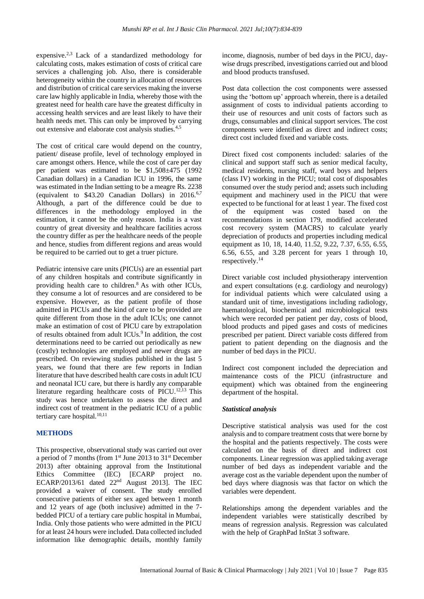expensive.2,3 Lack of a standardized methodology for calculating costs, makes estimation of costs of critical care services a challenging job. Also, there is considerable heterogeneity within the country in allocation of resources and distribution of critical care services making the inverse care law highly applicable in India, whereby those with the greatest need for health care have the greatest difficulty in accessing health services and are least likely to have their health needs met. This can only be improved by carrying out extensive and elaborate cost analysis studies.4,5

The cost of critical care would depend on the country, patient/ disease profile, level of technology employed in care amongst others. Hence, while the cost of care per day per patient was estimated to be \$1,508±475 (1992 Canadian dollars) in a Canadian ICU in 1996, the same was estimated in the Indian setting to be a meagre Rs. 2238 (equivalent to \$43.20 Canadian Dollars) in 2016.<sup>6,7</sup> Although, a part of the difference could be due to differences in the methodology employed in the estimation, it cannot be the only reason. India is a vast country of great diversity and healthcare facilities across the country differ as per the healthcare needs of the people and hence, studies from different regions and areas would be required to be carried out to get a truer picture.

Pediatric intensive care units (PICUs) are an essential part of any children hospitals and contribute significantly in providing health care to children. $8$  As with other ICUs, they consume a lot of resources and are considered to be expensive. However, as the patient profile of those admitted in PICUs and the kind of care to be provided are quite different from those in the adult ICUs; one cannot make an estimation of cost of PICU care by extrapolation of results obtained from adult ICUs.<sup>9</sup> In addition, the cost determinations need to be carried out periodically as new (costly) technologies are employed and newer drugs are prescribed. On reviewing studies published in the last 5 years, we found that there are few reports in Indian literature that have described health care costs in adult ICU and neonatal ICU care, but there is hardly any comparable literature regarding healthcare costs of PICU.<sup>12,13</sup> This study was hence undertaken to assess the direct and indirect cost of treatment in the pediatric ICU of a public tertiary care hospital.<sup>10,11</sup>

## **METHODS**

This prospective, observational study was carried out over a period of 7 months (from 1st June 2013 to 31st December 2013) after obtaining approval from the Institutional Ethics Committee (IEC) [ECARP project no. ECARP/2013/61 dated 22nd August 2013]. The IEC provided a waiver of consent. The study enrolled consecutive patients of either sex aged between 1 month and 12 years of age (both inclusive) admitted in the 7 bedded PICU of a tertiary care public hospital in Mumbai, India. Only those patients who were admitted in the PICU for at least 24 hours were included. Data collected included information like demographic details, monthly family income, diagnosis, number of bed days in the PICU, daywise drugs prescribed, investigations carried out and blood and blood products transfused.

Post data collection the cost components were assessed using the 'bottom up' approach wherein, there is a detailed assignment of costs to individual patients according to their use of resources and unit costs of factors such as drugs, consumables and clinical support services. The cost components were identified as direct and indirect costs; direct cost included fixed and variable costs.

Direct fixed cost components included: salaries of the clinical and support staff such as senior medical faculty, medical residents, nursing staff, ward boys and helpers (class IV) working in the PICU; total cost of disposables consumed over the study period and; assets such including equipment and machinery used in the PICU that were expected to be functional for at least 1 year. The fixed cost of the equipment was costed based on the recommendations in section 179, modified accelerated cost recovery system (MACRS) to calculate yearly depreciation of products and properties including medical equipment as 10, 18, 14.40, 11.52, 9.22, 7.37, 6.55, 6.55, 6.56, 6.55, and 3.28 percent for years 1 through 10, respectively.<sup>14</sup>

Direct variable cost included physiotherapy intervention and expert consultations (e.g. cardiology and neurology) for individual patients which were calculated using a standard unit of time, investigations including radiology, haematological, biochemical and microbiological tests which were recorded per patient per day, costs of blood, blood products and piped gases and costs of medicines prescribed per patient. Direct variable costs differed from patient to patient depending on the diagnosis and the number of bed days in the PICU.

Indirect cost component included the depreciation and maintenance costs of the PICU (infrastructure and equipment) which was obtained from the engineering department of the hospital.

## *Statistical analysis*

Descriptive statistical analysis was used for the cost analysis and to compare treatment costs that were borne by the hospital and the patients respectively. The costs were calculated on the basis of direct and indirect cost components. Linear regression was applied taking average number of bed days as independent variable and the average cost as the variable dependent upon the number of bed days where diagnosis was that factor on which the variables were dependent.

Relationships among the dependent variables and the independent variables were statistically described by means of regression analysis. Regression was calculated with the help of GraphPad InStat 3 software.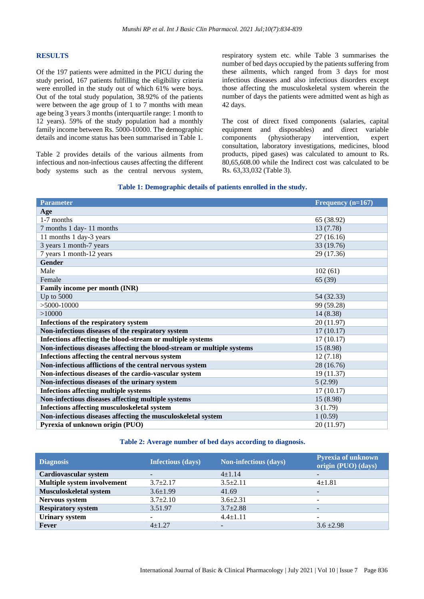#### **RESULTS**

Of the 197 patients were admitted in the PICU during the study period, 167 patients fulfilling the eligibility criteria were enrolled in the study out of which 61% were boys. Out of the total study population, 38.92% of the patients were between the age group of 1 to 7 months with mean age being 3 years 3 months (interquartile range: 1 month to 12 years). 59% of the study population had a monthly family income between Rs. 5000-10000. The demographic details and income status has been summarised in Table 1.

Table 2 provides details of the various ailments from infectious and non-infectious causes affecting the different body systems such as the central nervous system,

respiratory system etc. while Table 3 summarises the number of bed days occupied by the patients suffering from these ailments, which ranged from 3 days for most infectious diseases and also infectious disorders except those affecting the musculoskeletal system wherein the number of days the patients were admitted went as high as 42 days.

The cost of direct fixed components (salaries, capital equipment and disposables) and direct variable components (physiotherapy intervention, expert consultation, laboratory investigations, medicines, blood products, piped gases) was calculated to amount to Rs. 80,65,608.00 while the Indirect cost was calculated to be Rs. 63,33,032 (Table 3).

### **Table 1: Demographic details of patients enrolled in the study.**

| <b>Parameter</b>                                                       | Frequency $(n=167)$ |
|------------------------------------------------------------------------|---------------------|
| Age                                                                    |                     |
| 1-7 months                                                             | 65 (38.92)          |
| 7 months 1 day-11 months                                               | 13 (7.78)           |
| 11 months 1 day-3 years                                                | 27(16.16)           |
| 3 years 1 month-7 years                                                | 33 (19.76)          |
| 7 years 1 month-12 years                                               | 29 (17.36)          |
| <b>Gender</b>                                                          |                     |
| Male                                                                   | 102(61)             |
| Female                                                                 | 65 (39)             |
| Family income per month (INR)                                          |                     |
| Up to $5000$                                                           | 54 (32.33)          |
| $>5000-10000$                                                          | 99 (59.28)          |
| >10000                                                                 | 14 (8.38)           |
| Infections of the respiratory system                                   | 20 (11.97)          |
| Non-infectious diseases of the respiratory system                      | 17(10.17)           |
| Infections affecting the blood-stream or multiple systems              | 17(10.17)           |
| Non-infectious diseases affecting the blood-stream or multiple systems | 15 (8.98)           |
| Infections affecting the central nervous system                        | 12(7.18)            |
| Non-infectious afflictions of the central nervous system               | 28 (16.76)          |
| Non-infectious diseases of the cardio-vascular system                  | 19 (11.37)          |
| Non-infectious diseases of the urinary system                          | 5(2.99)             |
| <b>Infections affecting multiple systems</b>                           | 17(10.17)           |
| Non-infectious diseases affecting multiple systems                     | 15 (8.98)           |
| Infections affecting musculoskeletal system                            | 3(1.79)             |
| Non-infectious diseases affecting the musculoskeletal system           | 1(0.59)             |
| Pyrexia of unknown origin (PUO)                                        | 20 (11.97)          |

## **Table 2: Average number of bed days according to diagnosis.**

| <b>Diagnosis</b>            | <b>Infectious (days)</b> | <b>Non-infectious (days)</b> | <b>Pyrexia of unknown</b><br>origin (PUO) (days) |
|-----------------------------|--------------------------|------------------------------|--------------------------------------------------|
| Cardiovascular system       | ۰.                       | $4+1.14$                     |                                                  |
| Multiple system involvement | $3.7+2.17$               | $3.5 + 2.11$                 | $4 + 1.81$                                       |
| Musculoskeletal system      | $3.6 \pm 1.99$           | 41.69                        | $\overline{\phantom{a}}$                         |
| Nervous system              | $3.7 \pm 2.10$           | $3.6 \pm 2.31$               | $\overline{\phantom{0}}$                         |
| <b>Respiratory system</b>   | 3.51.97                  | $3.7 \pm 2.88$               | $\overline{\phantom{a}}$                         |
| <b>Urinary system</b>       | Ξ.                       | $4.4 \pm 1.11$               |                                                  |
| Fever                       | $4+1.27$                 | $\overline{\phantom{a}}$     | $3.6 \pm 2.98$                                   |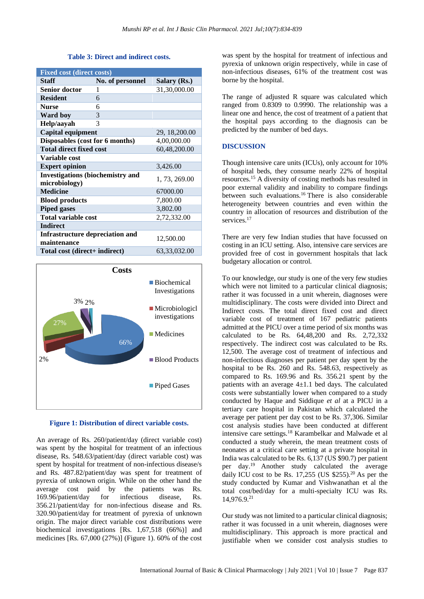#### **Table 3: Direct and indirect costs.**

| <b>Fixed cost (direct costs)</b>                         |                  |                 |  |
|----------------------------------------------------------|------------------|-----------------|--|
| Staff                                                    | No. of personnel | Salary (Rs.)    |  |
| <b>Senior doctor</b>                                     | 1                | 31,30,000.00    |  |
| <b>Resident</b>                                          | 6                |                 |  |
| <b>Nurse</b>                                             | 6                |                 |  |
| <b>Ward boy</b>                                          | 3                |                 |  |
| Help/aayah                                               | $\mathcal{R}$    |                 |  |
| Capital equipment                                        |                  | 29, 18, 200.00  |  |
| Disposables (cost for 6 months)                          |                  | 4,00,000.00     |  |
| <b>Total direct fixed cost</b>                           |                  | 60,48,200.00    |  |
| Variable cost                                            |                  |                 |  |
| <b>Expert opinion</b>                                    |                  | 3,426.00        |  |
| <b>Investigations (biochemistry and</b><br>microbiology) |                  | 1, 73, 269.00   |  |
| <b>Medicine</b>                                          |                  | 67000.00        |  |
| <b>Blood products</b>                                    |                  | 7,800.00        |  |
| <b>Piped gases</b>                                       |                  | 3,802.00        |  |
| <b>Total variable cost</b>                               |                  | 2,72,332.00     |  |
| <b>Indirect</b>                                          |                  |                 |  |
| Infrastructure depreciation and<br>maintenance           |                  | 12,500.00       |  |
| Total cost (direct+ indirect)                            |                  | 63, 33, 032. 00 |  |



#### **Figure 1: Distribution of direct variable costs.**

An average of Rs. 260/patient/day (direct variable cost) was spent by the hospital for treatment of an infectious disease, Rs. 548.63/patient/day (direct variable cost) was spent by hospital for treatment of non-infectious disease/s and Rs. 487.82/patient/day was spent for treatment of pyrexia of unknown origin. While on the other hand the average cost paid by the patients was Rs. 169.96/patient/day for infectious disease, Rs. 356.21/patient/day for non-infectious disease and Rs. 320.90/patient/day for treatment of pyrexia of unknown origin. The major direct variable cost distributions were biochemical investigations [Rs. 1,67,518 (66%)] and medicines [Rs. 67,000 (27%)] (Figure 1). 60% of the cost was spent by the hospital for treatment of infectious and pyrexia of unknown origin respectively, while in case of non-infectious diseases, 61% of the treatment cost was borne by the hospital.

The range of adjusted R square was calculated which ranged from 0.8309 to 0.9990. The relationship was a linear one and hence, the cost of treatment of a patient that the hospital pays according to the diagnosis can be predicted by the number of bed days.

## **DISCUSSION**

Though intensive care units (ICUs), only account for 10% of hospital beds, they consume nearly 22% of hospital resources.<sup>15</sup> A diversity of costing methods has resulted in poor external validity and inability to compare findings between such evaluations.<sup>16</sup> There is also considerable heterogeneity between countries and even within the country in allocation of resources and distribution of the services.<sup>17</sup>

There are very few Indian studies that have focussed on costing in an ICU setting. Also, intensive care services are provided free of cost in government hospitals that lack budgetary allocation or control.

To our knowledge, our study is one of the very few studies which were not limited to a particular clinical diagnosis; rather it was focussed in a unit wherein, diagnoses were multidisciplinary. The costs were divided into Direct and Indirect costs. The total direct fixed cost and direct variable cost of treatment of 167 pediatric patients admitted at the PICU over a time period of six months was calculated to be Rs. 64,48,200 and Rs. 2,72,332 respectively. The indirect cost was calculated to be Rs. 12,500. The average cost of treatment of infectious and non-infectious diagnoses per patient per day spent by the hospital to be Rs. 260 and Rs. 548.63, respectively as compared to Rs. 169.96 and Rs. 356.21 spent by the patients with an average  $4\pm1.1$  bed days. The calculated costs were substantially lower when compared to a study conducted by Haque and Siddique *et al* at a PICU in a tertiary care hospital in Pakistan which calculated the average per patient per day cost to be Rs. 37,306. Similar cost analysis studies have been conducted at different intensive care settings.<sup>18</sup> Karambelkar and Malwade et al conducted a study wherein, the mean treatment costs of neonates at a critical care setting at a private hospital in India was calculated to be Rs. 6,137 (US \$90.7) per patient per day.<sup>19</sup> Another study calculated the average daily ICU cost to be Rs.  $17,255$  (US \$255).<sup>20</sup> As per the study conducted by Kumar and Vishwanathan et al the total cost/bed/day for a multi-specialty ICU was Rs. 14,976.9.<sup>21</sup>

Our study was not limited to a particular clinical diagnosis; rather it was focussed in a unit wherein, diagnoses were multidisciplinary. This approach is more practical and justifiable when we consider cost analysis studies to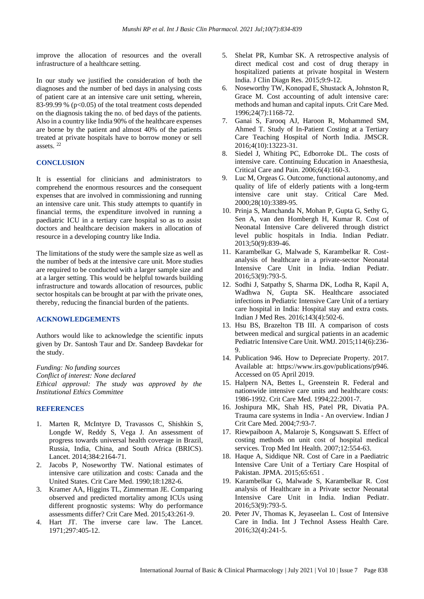improve the allocation of resources and the overall infrastructure of a healthcare setting.

In our study we justified the consideration of both the diagnoses and the number of bed days in analysing costs of patient care at an intensive care unit setting, wherein, 83-99.99 % ( $p<0.05$ ) of the total treatment costs depended on the diagnosis taking the no. of bed days of the patients. Also in a country like India 90% of the healthcare expenses are borne by the patient and almost 40% of the patients treated at private hospitals have to borrow money or sell assets. <sup>22</sup>

## **CONCLUSION**

It is essential for clinicians and administrators to comprehend the enormous resources and the consequent expenses that are involved in commissioning and running an intensive care unit. This study attempts to quantify in financial terms, the expenditure involved in running a paediatric ICU in a tertiary care hospital so as to assist doctors and healthcare decision makers in allocation of resource in a developing country like India.

The limitations of the study were the sample size as well as the number of beds at the intensive care unit. More studies are required to be conducted with a larger sample size and at a larger setting. This would be helpful towards building infrastructure and towards allocation of resources, public sector hospitals can be brought at par with the private ones, thereby, reducing the financial burden of the patients.

#### **ACKNOWLEDGEMENTS**

Authors would like to acknowledge the scientific inputs given by Dr. Santosh Taur and Dr. Sandeep Bavdekar for the study.

*Funding: No funding sources Conflict of interest: None declared Ethical approval: The study was approved by the Institutional Ethics Committee*

#### **REFERENCES**

- 1. Marten R, McIntyre D, Travassos C, Shishkin S, Longde W, Reddy S, Vega J. An assessment of progress towards universal health coverage in Brazil, Russia, India, China, and South Africa (BRICS). Lancet. 2014;384:2164-71.
- 2. Jacobs P, Noseworthy TW. National estimates of intensive care utilization and costs: Canada and the United States. Crit Care Med. 1990;18:1282-6.
- 3. Kramer AA, Higgins TL, Zimmerman JE. Comparing observed and predicted mortality among ICUs using different prognostic systems: Why do performance assessments differ? Crit Care Med. 2015;43:261-9.
- 4. Hart JT. The inverse care law. The Lancet. 1971;297:405-12.
- 5. Shelat PR, Kumbar SK. A retrospective analysis of direct medical cost and cost of drug therapy in hospitalized patients at private hospital in Western India. J Clin Diagn Res. 2015;9:9-12.
- 6. Noseworthy TW, Konopad E, Shustack A, Johnston R, Grace M. Cost accounting of adult intensive care: methods and human and capital inputs. Crit Care Med. 1996;24(7):1168-72.
- 7. Ganai S, Farooq AJ, Haroon R, Mohammed SM, Ahmed T. Study of In-Patient Costing at a Tertiary Care Teaching Hospital of North India. JMSCR. 2016;4(10):13223-31.
- 8. Siedel J, Whiting PC, Edborroke DL. The costs of intensive care. Continuing Education in Anaesthesia, Critical Care and Pain. 2006;6(4):160-3.
- 9. Luc M, Orgeas G. Outcome, functional autonomy, and quality of life of elderly patients with a long-term intensive care unit stay. Critical Care Med. 2000;28(10):3389-95.
- 10. Prinja S, Manchanda N, Mohan P, Gupta G, Sethy G, Sen A, van den Hombergh H, Kumar R. Cost of Neonatal Intensive Care delivered through district level public hospitals in India. Indian Pediatr. 2013;50(9):839-46.
- 11. Karambelkar G, Malwade S, Karambelkar R. Costanalysis of healthcare in a private-sector Neonatal Intensive Care Unit in India. Indian Pediatr. 2016;53(9):793-5.
- 12. Sodhi J, Satpathy S, Sharma DK, Lodha R, Kapil A, Wadhwa N, Gupta SK. Healthcare associated infections in Pediatric Intensive Care Unit of a tertiary care hospital in India: Hospital stay and extra costs. Indian J Med Res. 2016;143(4):502-6.
- 13. Hsu BS, Brazelton TB III. A comparison of costs between medical and surgical patients in an academic Pediatric Intensive Care Unit. WMJ. 2015;114(6):236- 9.
- 14. Publication 946. How to Depreciate Property. 2017. Available at: https://www.irs.gov/publications/p946. Accessed on 05 April 2019.
- 15. Halpern NA, Bettes L, Greenstein R. Federal and nationwide intensive care units and healthcare costs: 1986-1992. Crit Care Med. 1994;22:2001-7.
- 16. Joshipura MK, Shah HS, Patel PR, Divatia PA. Trauma care systems in India - An overview. Indian J Crit Care Med. 2004;7:93-7.
- 17. Riewpaiboon A, Malaroje S, Kongsawatt S. Effect of costing methods on unit cost of hospital medical services. Trop Med Int Health. 2007;12:554-63.
- 18. Haque A, Siddique NR. Cost of Care in a Paediatric Intensive Care Unit of a Tertiary Care Hospital of Pakistan. JPMA. 2015;65:651 .
- 19. Karambelkar G, Malwade S, Karambelkar R. Cost analysis of Healthcare in a Private sector Neonatal Intensive Care Unit in India. Indian Pediatr. 2016;53(9):793-5.
- 20. Peter JV, Thomas K, Jeyaseelan L. Cost of Intensive Care in India. Int J Technol Assess Health Care. 2016;32(4):241-5.